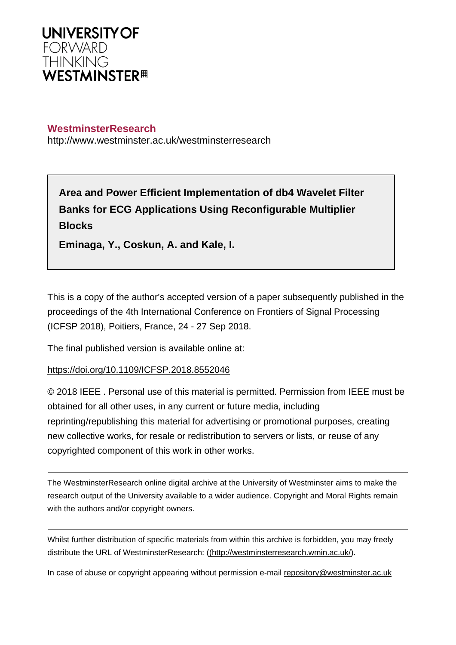

# **WestminsterResearch**

http://www.westminster.ac.uk/westminsterresearch

**Area and Power Efficient Implementation of db4 Wavelet Filter Banks for ECG Applications Using Reconfigurable Multiplier Blocks**

**Eminaga, Y., Coskun, A. and Kale, I.**

This is a copy of the author's accepted version of a paper subsequently published in the proceedings of the 4th International Conference on Frontiers of Signal Processing (ICFSP 2018), Poitiers, France, 24 - 27 Sep 2018.

The final published version is available online at:

# <https://doi.org/10.1109/ICFSP.2018.8552046>

© 2018 IEEE . Personal use of this material is permitted. Permission from IEEE must be obtained for all other uses, in any current or future media, including reprinting/republishing this material for advertising or promotional purposes, creating new collective works, for resale or redistribution to servers or lists, or reuse of any copyrighted component of this work in other works.

The WestminsterResearch online digital archive at the University of Westminster aims to make the research output of the University available to a wider audience. Copyright and Moral Rights remain with the authors and/or copyright owners.

Whilst further distribution of specific materials from within this archive is forbidden, you may freely distribute the URL of WestminsterResearch: [\(\(http://westminsterresearch.wmin.ac.uk/](http://westminsterresearch.wmin.ac.uk/)).

In case of abuse or copyright appearing without permission e-mail <repository@westminster.ac.uk>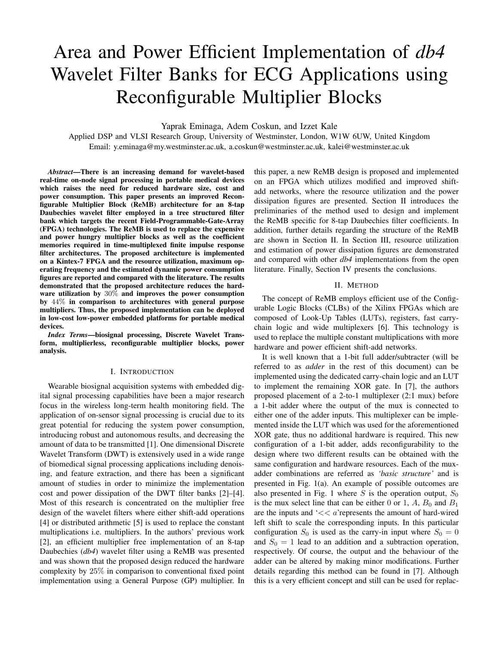# Area and Power Efficient Implementation of *db4* Wavelet Filter Banks for ECG Applications using Reconfigurable Multiplier Blocks

Yaprak Eminaga, Adem Coskun, and Izzet Kale

Applied DSP and VLSI Research Group, University of Westminster, London, W1W 6UW, United Kingdom Email: y.eminaga@my.westminster.ac.uk, a.coskun@westminster.ac.uk, kalei@westminster.ac.uk

*Abstract*—There is an increasing demand for wavelet-based real-time on-node signal processing in portable medical devices which raises the need for reduced hardware size, cost and power consumption. This paper presents an improved Reconfigurable Multiplier Block (ReMB) architecture for an 8-tap Daubechies wavelet filter employed in a tree structured filter bank which targets the recent Field-Programmable-Gate-Array (FPGA) technologies. The ReMB is used to replace the expensive and power hungry multiplier blocks as well as the coefficient memories required in time-multiplexed finite impulse response filter architectures. The proposed architecture is implemented on a Kintex-7 FPGA and the resource utilization, maximum operating frequency and the estimated dynamic power consumption figures are reported and compared with the literature. The results demonstrated that the proposed architecture reduces the hardware utilization by 30% and improves the power consumption by 44% in comparison to architectures with general purpose multipliers. Thus, the proposed implementation can be deployed in low-cost low-power embedded platforms for portable medical devices.

*Index Terms*—biosignal processing, Discrete Wavelet Transform, multiplierless, reconfigurable multiplier blocks, power analysis.

#### I. INTRODUCTION

Wearable biosignal acquisition systems with embedded digital signal processing capabilities have been a major research focus in the wireless long-term health monitoring field. The application of on-sensor signal processing is crucial due to its great potential for reducing the system power consumption, introducing robust and autonomous results, and decreasing the amount of data to be transmitted [1]. One dimensional Discrete Wavelet Transform (DWT) is extensively used in a wide range of biomedical signal processing applications including denoising, and feature extraction, and there has been a significant amount of studies in order to minimize the implementation cost and power dissipation of the DWT filter banks [2]–[4]. Most of this research is concentrated on the multiplier free design of the wavelet filters where either shift-add operations [4] or distributed arithmetic [5] is used to replace the constant multiplications i.e. multipliers. In the authors' previous work [2], an efficient multiplier free implementation of an 8-tap Daubechies (*db4*) wavelet filter using a ReMB was presented and was shown that the proposed design reduced the hardware complexity by 25% in comparison to conventional fixed point implementation using a General Purpose (GP) multiplier. In

this paper, a new ReMB design is proposed and implemented on an FPGA which utilizes modified and improved shiftadd networks, where the resource utilization and the power dissipation figures are presented. Section II introduces the preliminaries of the method used to design and implement the ReMB specific for 8-tap Daubechies filter coefficients. In addition, further details regarding the structure of the ReMB are shown in Section II. In Section III, resource utilization and estimation of power dissipation figures are demonstrated and compared with other *db4* implementations from the open literature. Finally, Section IV presents the conclusions.

## II. METHOD

The concept of ReMB employs efficient use of the Configurable Logic Blocks (CLBs) of the Xilinx FPGAs which are composed of Look-Up Tables (LUTs), registers, fast carrychain logic and wide multiplexers [6]. This technology is used to replace the multiple constant multiplications with more hardware and power efficient shift-add networks.

It is well known that a 1-bit full adder/subtracter (will be referred to as *adder* in the rest of this document) can be implemented using the dedicated carry-chain logic and an LUT to implement the remaining XOR gate. In [7], the authors proposed placement of a 2-to-1 multiplexer (2:1 mux) before a 1-bit adder where the output of the mux is connected to either one of the adder inputs. This multiplexer can be implemented inside the LUT which was used for the aforementioned XOR gate, thus no additional hardware is required. This new configuration of a 1-bit adder, adds reconfigurability to the design where two different results can be obtained with the same configuration and hardware resources. Each of the muxadder combinations are referred as *'basic structure'* and is presented in Fig. 1(a). An example of possible outcomes are also presented in Fig. 1 where  $S$  is the operation output,  $S_0$ is the mux select line that can be either 0 or 1,  $A$ ,  $B_0$  and  $B_1$ are the inputs and  $\leq < a$ 'represents the amount of hard-wired left shift to scale the corresponding inputs. In this particular configuration  $S_0$  is used as the carry-in input where  $S_0 = 0$ and  $S_0 = 1$  lead to an addition and a subtraction operation, respectively. Of course, the output and the behaviour of the adder can be altered by making minor modifications. Further details regarding this method can be found in [7]. Although this is a very efficient concept and still can be used for replac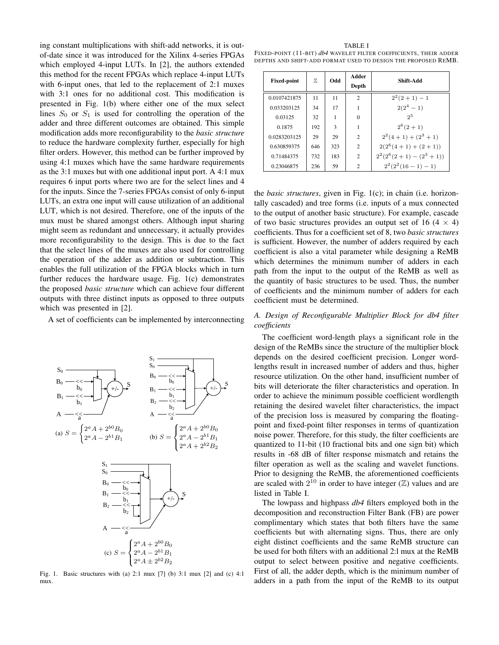ing constant multiplications with shift-add networks, it is outof-date since it was introduced for the Xilinx 4-series FPGAs which employed 4-input LUTs. In [2], the authors extended this method for the recent FPGAs which replace 4-input LUTs with 6-input ones, that led to the replacement of 2:1 muxes with 3:1 ones for no additional cost. This modification is presented in Fig. 1(b) where either one of the mux select lines  $S_0$  or  $S_1$  is used for controlling the operation of the adder and three different outcomes are obtained. This simple modification adds more reconfigurability to the *basic structure* to reduce the hardware complexity further, especially for high filter orders. However, this method can be further improved by using 4:1 muxes which have the same hardware requirements as the 3:1 muxes but with one additional input port. A 4:1 mux requires 6 input ports where two are for the select lines and 4 for the inputs. Since the 7-series FPGAs consist of only 6-input LUTs, an extra one input will cause utilization of an additional LUT, which is not desired. Therefore, one of the inputs of the mux must be shared amongst others. Although input sharing might seem as redundant and unnecessary, it actually provides more reconfigurability to the design. This is due to the fact that the select lines of the muxes are also used for controlling the operation of the adder as addition or subtraction. This enables the full utilization of the FPGA blocks which in turn further reduces the hardware usage. Fig. 1(c) demonstrates the proposed *basic structure* which can achieve four different outputs with three distinct inputs as opposed to three outputs which was presented in [2].

A set of coefficients can be implemented by interconnecting



Fig. 1. Basic structures with (a) 2:1 mux [7] (b) 3:1 mux [2] and (c) 4:1 mux.

| TABLE I                                                           |  |
|-------------------------------------------------------------------|--|
| FIXED-POINT (11-BIT) db4 WAVELET FILTER COEFFICIENTS, THEIR ADDER |  |
| DEPTHS AND SHIFT-ADD FORMAT USED TO DESIGN THE PROPOSED REMB.     |  |

| <b>Fixed-point</b> | 77, | <b>bbO</b>   | Adder<br>Depth              | Shift-Add               |
|--------------------|-----|--------------|-----------------------------|-------------------------|
| 0.0107421875       | 11  | 11           | $\overline{c}$              | $2^2(2+1)-1$            |
| 0.033203125        | 34  | 17           |                             | $2(2^4-1)$              |
| 0.03125            | 32  | 1            | $\Omega$                    | 2 <sub>0</sub>          |
| 0.1875             | 192 | $\mathbf{3}$ |                             | $2^6(2+1)$              |
| 0.0283203125       | 29  | 29           | $\mathcal{D}_{\mathcal{L}}$ | $2^2(4+1) + (2^3+1)$    |
| 0.630859375        | 646 | 323          | $\mathfrak{D}$              | $2(2^6(4+1)+(2+1))$     |
| 0.71484375         | 732 | 183          | $\mathfrak{D}$              | $2^2(2^6(2+1)-(2^3+1))$ |
| 0.23046875         | 236 | 59           | $\overline{c}$              | $2^2(2^2(16-1)-1)$      |

the *basic structures*, given in Fig. 1(c); in chain (i.e. horizontally cascaded) and tree forms (i.e. inputs of a mux connected to the output of another basic structure). For example, cascade of two basic structures provides an output set of 16 (4  $\times$  4) coefficients. Thus for a coefficient set of 8, two *basic structures* is sufficient. However, the number of adders required by each coefficient is also a vital parameter while designing a ReMB which determines the minimum number of adders in each path from the input to the output of the ReMB as well as the quantity of basic structures to be used. Thus, the number of coefficients and the minimum number of adders for each coefficient must be determined.

# *A. Design of Reconfigurable Multiplier Block for db4 filter coefficients*

The coefficient word-length plays a significant role in the design of the ReMBs since the structure of the multiplier block depends on the desired coefficient precision. Longer wordlengths result in increased number of adders and thus, higher resource utilization. On the other hand, insufficient number of bits will deteriorate the filter characteristics and operation. In order to achieve the minimum possible coefficient wordlength retaining the desired wavelet filter characteristics, the impact of the precision loss is measured by comparing the floatingpoint and fixed-point filter responses in terms of quantization noise power. Therefore, for this study, the filter coefficients are quantized to 11-bit (10 fractional bits and one sign bit) which results in -68 dB of filter response mismatch and retains the filter operation as well as the scaling and wavelet functions. Prior to designing the ReMB, the aforementioned coefficients are scaled with  $2^{10}$  in order to have integer ( $\mathbb{Z}$ ) values and are listed in Table I.

The lowpass and highpass *db4* filters employed both in the decomposition and reconstruction Filter Bank (FB) are power complimentary which states that both filters have the same coefficients but with alternating signs. Thus, there are only eight distinct coefficients and the same ReMB structure can be used for both filters with an additional 2:l mux at the ReMB output to select between positive and negative coefficients. First of all, the adder depth, which is the minimum number of adders in a path from the input of the ReMB to its output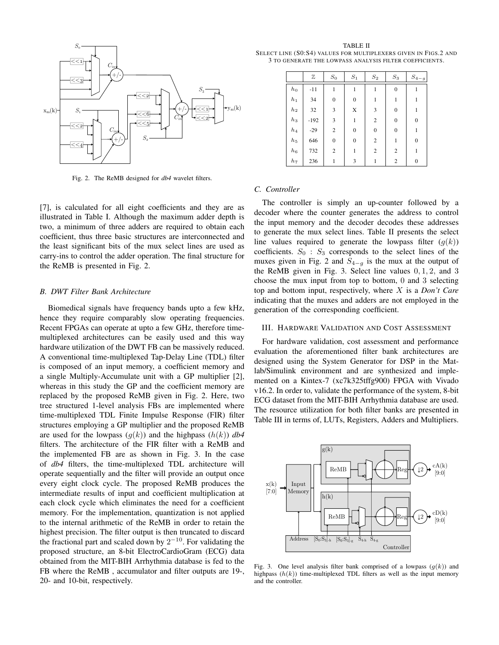

Fig. 2. The ReMB designed for *db4* wavelet filters.

[7], is calculated for all eight coefficients and they are as illustrated in Table I. Although the maximum adder depth is two, a minimum of three adders are required to obtain each coefficient, thus three basic structures are interconnected and the least significant bits of the mux select lines are used as carry-ins to control the adder operation. The final structure for the ReMB is presented in Fig. 2.

## *B. DWT Filter Bank Architecture*

Biomedical signals have frequency bands upto a few kHz, hence they require comparably slow operating frequencies. Recent FPGAs can operate at upto a few GHz, therefore timemultiplexed architectures can be easily used and this way hardware utilization of the DWT FB can be massively reduced. A conventional time-multiplexed Tap-Delay Line (TDL) filter is composed of an input memory, a coefficient memory and a single Multiply-Accumulate unit with a GP multiplier [2], whereas in this study the GP and the coefficient memory are replaced by the proposed ReMB given in Fig. 2. Here, two tree structured 1-level analysis FBs are implemented where time-multiplexed TDL Finite Impulse Response (FIR) filter structures employing a GP multiplier and the proposed ReMB are used for the lowpass  $(g(k))$  and the highpass  $(h(k))$  *db4* filters. The architecture of the FIR filter with a ReMB and the implemented FB are as shown in Fig. 3. In the case of *db4* filters, the time-multiplexed TDL architecture will operate sequentially and the filter will provide an output once every eight clock cycle. The proposed ReMB produces the intermediate results of input and coefficient multiplication at each clock cycle which eliminates the need for a coefficient memory. For the implementation, quantization is not applied to the internal arithmetic of the ReMB in order to retain the highest precision. The filter output is then truncated to discard the fractional part and scaled down by  $2^{-10}$ . For validating the proposed structure, an 8-bit ElectroCardioGram (ECG) data obtained from the MIT-BIH Arrhythmia database is fed to the FB where the ReMB , accumulator and filter outputs are 19-, 20- and 10-bit, respectively.

TABLE II SELECT LINE (S0:S4) VALUES FOR MULTIPLEXERS GIVEN IN FIGS.2 AND 3 TO GENERATE THE LOWPASS ANALYSIS FILTER COEFFICIENTS.

|          | Z      | $S_0$            | $S_2$<br>$S_1$ |                  | $S_3$            | $S_{4-g}$      |
|----------|--------|------------------|----------------|------------------|------------------|----------------|
| $h_0$    | $-11$  | 1                | 1              | 1                | $\boldsymbol{0}$ |                |
| $h_1$    | 34     | $\boldsymbol{0}$ | $\mathbf{0}$   | 1                | 1                |                |
| $_{h_2}$ | 32     | 3                | X              | 3                | 0                |                |
| $h_3$    | $-192$ | 3                | 1              | $\overline{c}$   | 0                | $\overline{0}$ |
| $h_4$    | $-29$  | $\overline{c}$   | $\mathbf{0}$   | $\boldsymbol{0}$ | 0                |                |
| $h_5$    | 646    | $\boldsymbol{0}$ | $\mathbf{0}$   | $\overline{c}$   | 1                | $\overline{0}$ |
| $h_6$    | 732    | $\overline{2}$   | 1              | $\overline{c}$   | $\overline{2}$   |                |
| $_{h7}$  | 236    | 1                | 3              |                  | $\overline{2}$   | $\mathbf{0}$   |

## *C. Controller*

The controller is simply an up-counter followed by a decoder where the counter generates the address to control the input memory and the decoder decodes these addresses to generate the mux select lines. Table II presents the select line values required to generate the lowpass filter  $(g(k))$ coefficients.  $S_0$ :  $S_3$  corresponds to the select lines of the muxes given in Fig. 2 and  $S_{4-g}$  is the mux at the output of the ReMB given in Fig. 3. Select line values 0, 1, 2, and 3 choose the mux input from top to bottom, 0 and 3 selecting top and bottom input, respectively, where X is a *Don't Care* indicating that the muxes and adders are not employed in the generation of the corresponding coefficient.

## III. HARDWARE VALIDATION AND COST ASSESSMENT

For hardware validation, cost assessment and performance evaluation the aforementioned filter bank architectures are designed using the System Generator for DSP in the Matlab/Simulink environment and are synthesized and implemented on a Kintex-7 (xc7k325tffg900) FPGA with Vivado v16.2. In order to, validate the performance of the system, 8-bit ECG dataset from the MIT-BIH Arrhythmia database are used. The resource utilization for both filter banks are presented in Table III in terms of, LUTs, Registers, Adders and Multipliers.



Fig. 3. One level analysis filter bank comprised of a lowpass  $(g(k))$  and highpass  $(h(k))$  time-multiplexed TDL filters as well as the input memory and the controller.